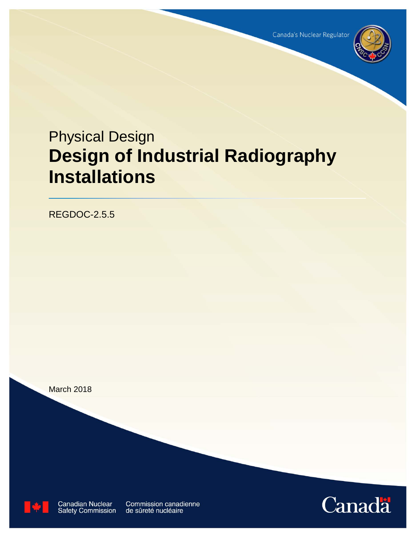

# Physical Design **Design of Industrial Radiography Installations**

REGDOC-2.5.5

March 2018



**Conodian Nuclear** Commission canodianno **Document National Communistic Consultation Consultation Consultation Consultation Consultation Consultation Co** 

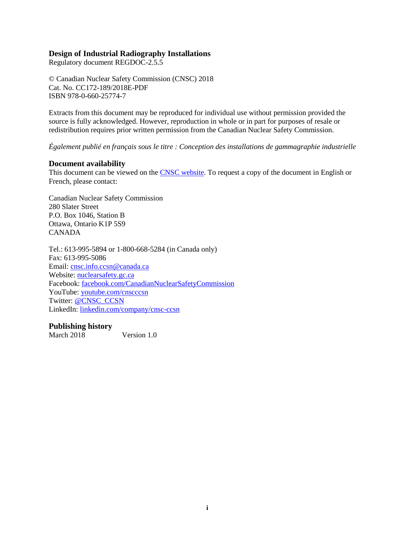#### **Design of Industrial Radiography Installations**

Regulatory document REGDOC-2.5.5

© Canadian Nuclear Safety Commission (CNSC) 2018 Cat. No. CC172-189/2018E-PDF ISBN 978-0-660-25774-7

Extracts from this document may be reproduced for individual use without permission provided the source is fully acknowledged. However, reproduction in whole or in part for purposes of resale or redistribution requires prior written permission from the Canadian Nuclear Safety Commission.

*Également publié en français sous le titre : Conception des installations de gammagraphie industrielle*

#### **Document availability**

This document can be viewed on the [CNSC website.](http://www.nuclearsafety.gc.ca/) To request a copy of the document in English or French, please contact:

Canadian Nuclear Safety Commission 280 Slater Street P.O. Box 1046, Station B Ottawa, Ontario K1P 5S9 CANADA

Tel.: 613-995-5894 or 1-800-668-5284 (in Canada only) Fax: 613-995-5086 Email: [cnsc.info.ccsn@canada.ca](mailto:cnsc.info.ccsn@canada.ca) Website: [nuclearsafety.gc.ca](http://www.nuclearsafety.gc.ca/) Facebook: [facebook.com/CanadianNuclearSafetyCommission](http://www.facebook.com/CanadianNuclearSafetyCommission) YouTube: [youtube.com/cnscccsn](http://www.youtube.com/cnscccsn) Twitter: [@CNSC\\_CCSN](https://twitter.com/CNSC_CCSN) LinkedIn: [linkedin.com/company/cnsc-ccsn](https://www.linkedin.com/company/cnsc-ccsn/)

#### **Publishing history**

March 2018 Version 1.0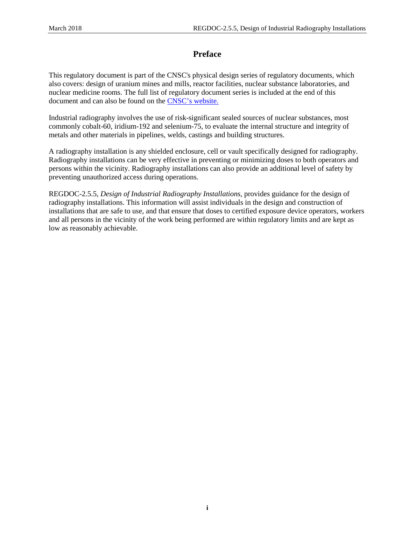# **Preface**

This regulatory document is part of the CNSC's physical design series of regulatory documents, which also covers: design of uranium mines and mills, reactor facilities, nuclear substance laboratories, and nuclear medicine rooms. The full list of regulatory document series is included at the end of this document and can also be found on th[e CNSC's website.](http://www.nuclearsafety.gc.ca/eng/acts-and-regulations/regulatory-documents/index.cfm#R13)

Industrial radiography involves the use of risk-significant sealed sources of nuclear substances, most commonly cobalt-60, iridium-192 and selenium-75, to evaluate the internal structure and integrity of metals and other materials in pipelines, welds, castings and building structures.

A radiography installation is any shielded enclosure, cell or vault specifically designed for radiography. Radiography installations can be very effective in preventing or minimizing doses to both operators and persons within the vicinity. Radiography installations can also provide an additional level of safety by preventing unauthorized access during operations.

REGDOC-2.5.5, *Design of Industrial Radiography Installations*, provides guidance for the design of radiography installations. This information will assist individuals in the design and construction of installations that are safe to use, and that ensure that doses to certified exposure device operators, workers and all persons in the vicinity of the work being performed are within regulatory limits and are kept as low as reasonably achievable.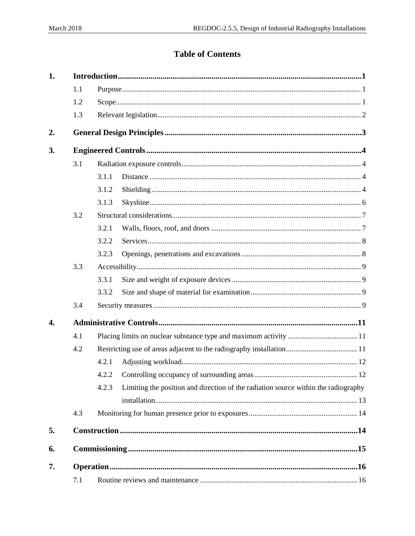# **Table of Contents**

| 1.               |     |       |                                                                                    |  |  |  |  |  |
|------------------|-----|-------|------------------------------------------------------------------------------------|--|--|--|--|--|
|                  | 1.1 |       |                                                                                    |  |  |  |  |  |
|                  | 1.2 |       |                                                                                    |  |  |  |  |  |
|                  | 1.3 |       |                                                                                    |  |  |  |  |  |
| 2.               |     |       |                                                                                    |  |  |  |  |  |
| 3.               |     |       |                                                                                    |  |  |  |  |  |
|                  | 3.1 |       |                                                                                    |  |  |  |  |  |
|                  |     | 3.1.1 |                                                                                    |  |  |  |  |  |
|                  |     | 3.1.2 |                                                                                    |  |  |  |  |  |
|                  |     | 3.1.3 |                                                                                    |  |  |  |  |  |
|                  | 3.2 |       |                                                                                    |  |  |  |  |  |
|                  |     | 3.2.1 |                                                                                    |  |  |  |  |  |
|                  |     | 3.2.2 |                                                                                    |  |  |  |  |  |
|                  |     | 3.2.3 |                                                                                    |  |  |  |  |  |
|                  | 3.3 |       |                                                                                    |  |  |  |  |  |
|                  |     | 3.3.1 |                                                                                    |  |  |  |  |  |
|                  |     | 3.3.2 |                                                                                    |  |  |  |  |  |
|                  | 3.4 |       |                                                                                    |  |  |  |  |  |
| $\overline{4}$ . |     |       |                                                                                    |  |  |  |  |  |
|                  | 4.1 |       |                                                                                    |  |  |  |  |  |
|                  | 4.2 |       |                                                                                    |  |  |  |  |  |
|                  |     | 4.2.1 |                                                                                    |  |  |  |  |  |
|                  |     |       |                                                                                    |  |  |  |  |  |
|                  |     | 4.2.3 | Limiting the position and direction of the radiation source within the radiography |  |  |  |  |  |
|                  |     |       |                                                                                    |  |  |  |  |  |
|                  | 4.3 |       |                                                                                    |  |  |  |  |  |
| 5.               |     |       |                                                                                    |  |  |  |  |  |
| 6.               |     |       |                                                                                    |  |  |  |  |  |
| 7.               |     |       |                                                                                    |  |  |  |  |  |
|                  | 7.1 |       |                                                                                    |  |  |  |  |  |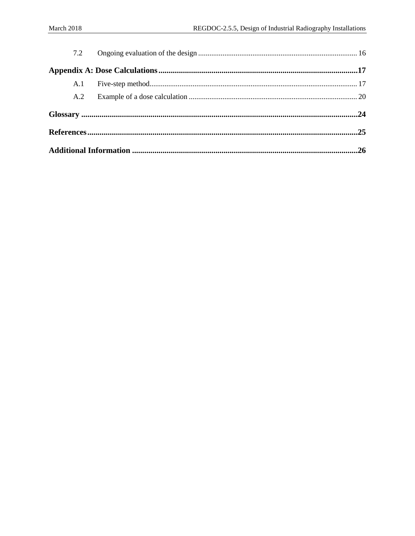| 7.2 |  |  |  |
|-----|--|--|--|
|     |  |  |  |
|     |  |  |  |
| A.2 |  |  |  |
|     |  |  |  |
|     |  |  |  |
|     |  |  |  |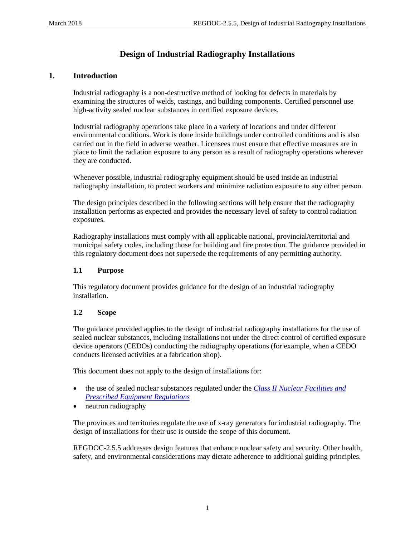# **Design of Industrial Radiography Installations**

# <span id="page-5-0"></span>**1. Introduction**

Industrial radiography is a non-destructive method of looking for defects in materials by examining the structures of welds, castings, and building components. Certified personnel use high-activity sealed nuclear substances in certified exposure devices.

Industrial radiography operations take place in a variety of locations and under different environmental conditions. Work is done inside buildings under controlled conditions and is also carried out in the field in adverse weather. Licensees must ensure that effective measures are in place to limit the radiation exposure to any person as a result of radiography operations wherever they are conducted.

Whenever possible, industrial radiography equipment should be used inside an industrial radiography installation, to protect workers and minimize radiation exposure to any other person.

The design principles described in the following sections will help ensure that the radiography installation performs as expected and provides the necessary level of safety to control radiation exposures.

Radiography installations must comply with all applicable national, provincial/territorial and municipal safety codes, including those for building and fire protection. The guidance provided in this regulatory document does not supersede the requirements of any permitting authority.

## <span id="page-5-1"></span>**1.1 Purpose**

This regulatory document provides guidance for the design of an industrial radiography installation.

## <span id="page-5-2"></span>**1.2 Scope**

The guidance provided applies to the design of industrial radiography installations for the use of sealed nuclear substances, including installations not under the direct control of certified exposure device operators (CEDOs) conducting the radiography operations (for example, when a CEDO conducts licensed activities at a fabrication shop).

This document does not apply to the design of installations for:

- the use of sealed nuclear substances regulated under the *[Class II Nuclear Facilities and](http://laws.justice.gc.ca/eng/regulations/sor-2000-205/page-1.html)  [Prescribed Equipment Regulations](http://laws.justice.gc.ca/eng/regulations/sor-2000-205/page-1.html)*
- neutron radiography

The provinces and territories regulate the use of x-ray generators for industrial radiography. The design of installations for their use is outside the scope of this document.

REGDOC-2.5.5 addresses design features that enhance nuclear safety and security. Other health, safety, and environmental considerations may dictate adherence to additional guiding principles.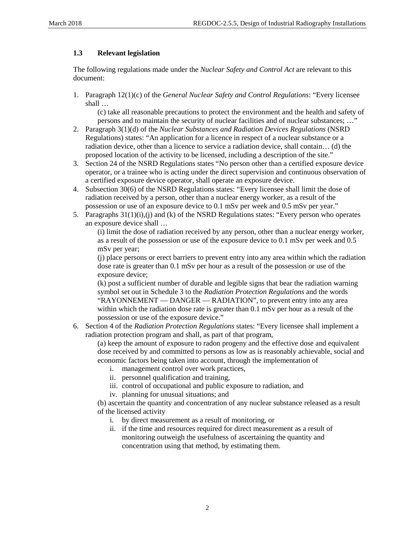## <span id="page-6-0"></span>**1.3 Relevant legislation**

The following regulations made under the *Nuclear Safety and Control Act* are relevant to this document:

1. Paragraph 12(1)(c) of the *General Nuclear Safety and Control Regulations*: "Every licensee shall …

(c) take all reasonable precautions to protect the environment and the health and safety of persons and to maintain the security of nuclear facilities and of nuclear substances; ...'

- 2. Paragraph 3(1)(d) of the *Nuclear Substances and Radiation Devices Regulations* (NSRD Regulations) states: "An application for a licence in respect of a nuclear substance or a radiation device, other than a licence to service a radiation device, shall contain… (d) the proposed location of the activity to be licensed, including a description of the site."
- 3. Section 24 of the NSRD Regulations states "No person other than a certified exposure device operator, or a trainee who is acting under the direct supervision and continuous observation of a certified exposure device operator, shall operate an exposure device.
- 4. Subsection 30(6) of the NSRD Regulations states: "Every licensee shall limit the dose of radiation received by a person, other than a nuclear energy worker, as a result of the possession or use of an exposure device to 0.1 mSv per week and 0.5 mSv per year."
- 5. Paragraphs  $31(1)(i)$ , (j) and (k) of the NSRD Regulations states: "Every person who operates an exposure device shall …

(i) limit the dose of radiation received by any person, other than a nuclear energy worker, as a result of the possession or use of the exposure device to 0.1 mSv per week and 0.5 mSv per year;

(j) place persons or erect barriers to prevent entry into any area within which the radiation dose rate is greater than 0.1 mSv per hour as a result of the possession or use of the exposure device;

(k) post a sufficient number of durable and legible signs that bear the radiation warning symbol set out in Schedule 3 to the *Radiation Protection Regulations* and the words "RAYONNEMENT — DANGER — RADIATION", to prevent entry into any area within which the radiation dose rate is greater than 0.1 mSv per hour as a result of the possession or use of the exposure device."

6. Section 4 of the *Radiation Protection Regulations* states: "Every licensee shall implement a radiation protection program and shall, as part of that program,

(a) keep the amount of exposure to radon progeny and the effective dose and equivalent dose received by and committed to persons as low as is reasonably achievable, social and economic factors being taken into account, through the implementation of

- i. management control over work practices,
- ii. personnel qualification and training,
- iii. control of occupational and public exposure to radiation, and
- iv. planning for unusual situations; and

(b) ascertain the quantity and concentration of any nuclear substance released as a result of the licensed activity

- i. by direct measurement as a result of monitoring, or
- ii. if the time and resources required for direct measurement as a result of monitoring outweigh the usefulness of ascertaining the quantity and concentration using that method, by estimating them.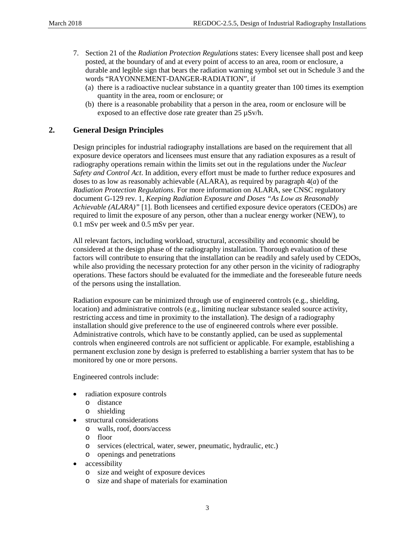- 7. Section 21 of the *Radiation Protection Regulations* states: Every licensee shall post and keep posted, at the boundary of and at every point of access to an area, room or enclosure, a durable and legible sign that bears the radiation warning symbol set out in Schedule 3 and the words "RAYONNEMENT-DANGER-RADIATION", if
	- (a) there is a radioactive nuclear substance in a quantity greater than 100 times its exemption quantity in the area, room or enclosure; or
	- (b) there is a reasonable probability that a person in the area, room or enclosure will be exposed to an effective dose rate greater than 25 µSv/h.

## <span id="page-7-0"></span>**2. General Design Principles**

Design principles for industrial radiography installations are based on the requirement that all exposure device operators and licensees must ensure that any radiation exposures as a result of radiography operations remain within the limits set out in the regulations under the *Nuclear Safety and Control Act*. In addition, every effort must be made to further reduce exposures and doses to as low as reasonably achievable (ALARA), as required by paragraph 4(*a*) of the *Radiation Protection Regulations*. For more information on ALARA, see CNSC regulatory document G-129 rev. 1, *Keeping Radiation Exposure and Doses "As Low as Reasonably Achievable (ALARA)"* [1]. Both licensees and certified exposure device operators (CEDOs) are required to limit the exposure of any person, other than a nuclear energy worker (NEW), to 0.1 mSv per week and 0.5 mSv per year.

All relevant factors, including workload, structural, accessibility and economic should be considered at the design phase of the radiography installation. Thorough evaluation of these factors will contribute to ensuring that the installation can be readily and safely used by CEDOs, while also providing the necessary protection for any other person in the vicinity of radiography operations. These factors should be evaluated for the immediate and the foreseeable future needs of the persons using the installation.

Radiation exposure can be minimized through use of engineered controls (e.g., shielding, location) and administrative controls (e.g., limiting nuclear substance sealed source activity, restricting access and time in proximity to the installation). The design of a radiography installation should give preference to the use of engineered controls where ever possible. Administrative controls, which have to be constantly applied, can be used as supplemental controls when engineered controls are not sufficient or applicable. For example, establishing a permanent exclusion zone by design is preferred to establishing a barrier system that has to be monitored by one or more persons.

Engineered controls include:

- radiation exposure controls
	- o distance
	- o shielding
- structural considerations
	- o walls, roof, doors/access
	- o floor
	- o services (electrical, water, sewer, pneumatic, hydraulic, etc.)
	- o openings and penetrations
- accessibility
	- o size and weight of exposure devices
	- o size and shape of materials for examination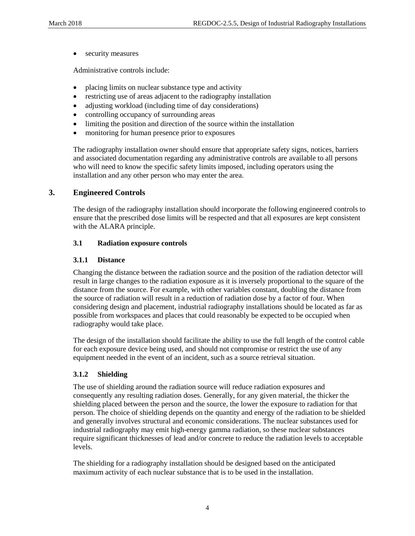• security measures

Administrative controls include:

- placing limits on nuclear substance type and activity
- restricting use of areas adjacent to the radiography installation
- adjusting workload (including time of day considerations)
- controlling occupancy of surrounding areas
- limiting the position and direction of the source within the installation
- monitoring for human presence prior to exposures

The radiography installation owner should ensure that appropriate safety signs, notices, barriers and associated documentation regarding any administrative controls are available to all persons who will need to know the specific safety limits imposed, including operators using the installation and any other person who may enter the area.

#### <span id="page-8-0"></span>**3. Engineered Controls**

The design of the radiography installation should incorporate the following engineered controls to ensure that the prescribed dose limits will be respected and that all exposures are kept consistent with the ALARA principle.

#### <span id="page-8-1"></span>**3.1 Radiation exposure controls**

#### <span id="page-8-2"></span>**3.1.1 Distance**

Changing the distance between the radiation source and the position of the radiation detector will result in large changes to the radiation exposure as it is inversely proportional to the square of the distance from the source. For example, with other variables constant, doubling the distance from the source of radiation will result in a reduction of radiation dose by a factor of four. When considering design and placement, industrial radiography installations should be located as far as possible from workspaces and places that could reasonably be expected to be occupied when radiography would take place.

The design of the installation should facilitate the ability to use the full length of the control cable for each exposure device being used, and should not compromise or restrict the use of any equipment needed in the event of an incident, such as a source retrieval situation.

## <span id="page-8-3"></span>**3.1.2 Shielding**

The use of shielding around the radiation source will reduce radiation exposures and consequently any resulting radiation doses. Generally, for any given material, the thicker the shielding placed between the person and the source, the lower the exposure to radiation for that person. The choice of shielding depends on the quantity and energy of the radiation to be shielded and generally involves structural and economic considerations. The nuclear substances used for industrial radiography may emit high-energy gamma radiation, so these nuclear substances require significant thicknesses of lead and/or concrete to reduce the radiation levels to acceptable levels.

The shielding for a radiography installation should be designed based on the anticipated maximum activity of each nuclear substance that is to be used in the installation.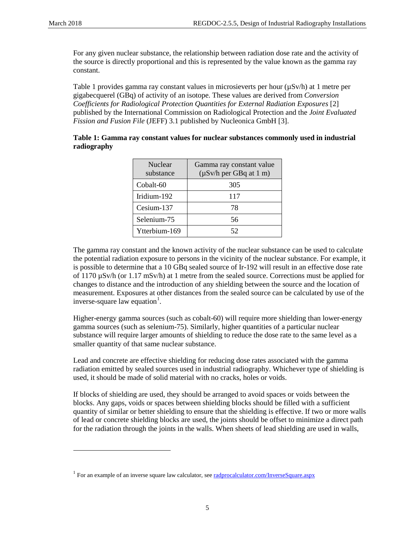$\overline{a}$ 

For any given nuclear substance, the relationship between radiation dose rate and the activity of the source is directly proportional and this is represented by the value known as the gamma ray constant.

Table 1 provides gamma ray constant values in microsieverts per hour (µSv/h) at 1 metre per gigabecquerel (GBq) of activity of an isotope. These values are derived from *Conversion Coefficients for Radiological Protection Quantities for External Radiation Exposures* [2] published by the International Commission on Radiological Protection and the *Joint Evaluated Fission and Fusion File* (JEFF) 3.1 published by Nucleonica GmbH [3].

| Table 1: Gamma ray constant values for nuclear substances commonly used in industrial |
|---------------------------------------------------------------------------------------|
| radiography                                                                           |
|                                                                                       |

| Nuclear<br>substance | Gamma ray constant value<br>$(\mu Sv/h)$ per GBq at 1 m) |
|----------------------|----------------------------------------------------------|
| Cobalt-60            | 305                                                      |
| Iridium-192          | 117                                                      |
| Cesium-137           | 78                                                       |
| Selenium-75          | 56                                                       |
| Ytterbium-169        | 52                                                       |

The gamma ray constant and the known activity of the nuclear substance can be used to calculate the potential radiation exposure to persons in the vicinity of the nuclear substance. For example, it is possible to determine that a 10 GBq sealed source of Ir-192 will result in an effective dose rate of 1170 µSv/h (or 1.17 mSv/h) at 1 metre from the sealed source. Corrections must be applied for changes to distance and the introduction of any shielding between the source and the location of measurement. Exposures at other distances from the sealed source can be calculated by use of the inverse-square law equation<sup>[1](#page-9-0)</sup>.

Higher-energy gamma sources (such as cobalt-60) will require more shielding than lower-energy gamma sources (such as selenium-75). Similarly, higher quantities of a particular nuclear substance will require larger amounts of shielding to reduce the dose rate to the same level as a smaller quantity of that same nuclear substance.

Lead and concrete are effective shielding for reducing dose rates associated with the gamma radiation emitted by sealed sources used in industrial radiography. Whichever type of shielding is used, it should be made of solid material with no cracks, holes or voids.

If blocks of shielding are used, they should be arranged to avoid spaces or voids between the blocks. Any gaps, voids or spaces between shielding blocks should be filled with a sufficient quantity of similar or better shielding to ensure that the shielding is effective. If two or more walls of lead or concrete shielding blocks are used, the joints should be offset to minimize a direct path for the radiation through the joints in the walls. When sheets of lead shielding are used in walls,

<span id="page-9-0"></span><sup>&</sup>lt;sup>1</sup> For an example of an inverse square law calculator, se[e radprocalculator.com/InverseSquare.aspx](http://www.radprocalculator.com/InverseSquare.aspx)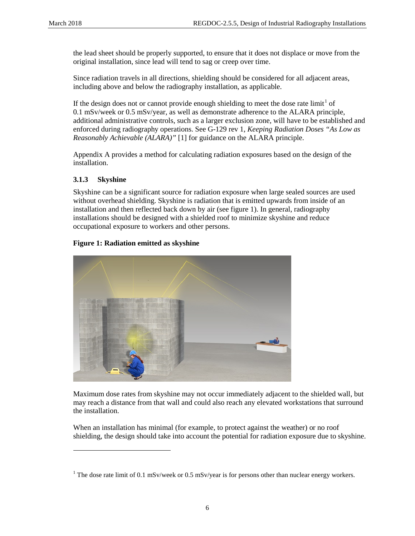the lead sheet should be properly supported, to ensure that it does not displace or move from the original installation, since lead will tend to sag or creep over time.

Since radiation travels in all directions, shielding should be considered for all adjacent areas, including above and below the radiography installation, as applicable.

If the design does not or cannot provide enough shielding to meet the dose rate  $\text{limit}^1$  $\text{limit}^1$  of 0.1 mSv/week or 0.5 mSv/year, as well as demonstrate adherence to the ALARA principle, additional administrative controls, such as a larger exclusion zone, will have to be established and enforced during radiography operations. See G-129 rev 1, *Keeping Radiation Doses "As Low as Reasonably Achievable (ALARA)"* [1] for guidance on the ALARA principle.

Appendix A provides a method for calculating radiation exposures based on the design of the installation.

## <span id="page-10-0"></span>**3.1.3 Skyshine**

 $\overline{a}$ 

Skyshine can be a significant source for radiation exposure when large sealed sources are used without overhead shielding. Skyshine is radiation that is emitted upwards from inside of an installation and then reflected back down by air (see figure 1). In general, radiography installations should be designed with a shielded roof to minimize skyshine and reduce occupational exposure to workers and other persons.

#### **Figure 1: Radiation emitted as skyshine**



Maximum dose rates from skyshine may not occur immediately adjacent to the shielded wall, but may reach a distance from that wall and could also reach any elevated workstations that surround the installation.

When an installation has minimal (for example, to protect against the weather) or no roof shielding, the design should take into account the potential for radiation exposure due to skyshine.

<span id="page-10-1"></span><sup>&</sup>lt;sup>1</sup> The dose rate limit of 0.1 mSv/week or 0.5 mSv/year is for persons other than nuclear energy workers.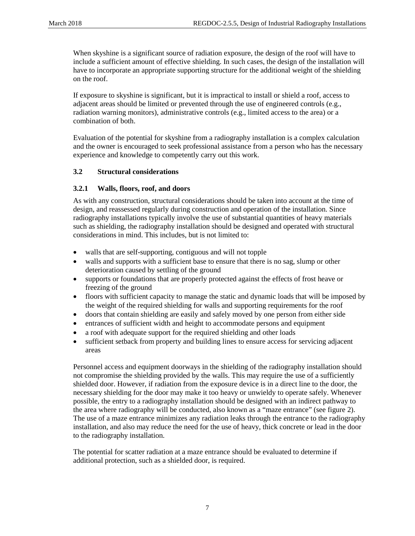When skyshine is a significant source of radiation exposure, the design of the roof will have to include a sufficient amount of effective shielding. In such cases, the design of the installation will have to incorporate an appropriate supporting structure for the additional weight of the shielding on the roof.

If exposure to skyshine is significant, but it is impractical to install or shield a roof, access to adjacent areas should be limited or prevented through the use of engineered controls (e.g., radiation warning monitors), administrative controls (e.g., limited access to the area) or a combination of both.

Evaluation of the potential for skyshine from a radiography installation is a complex calculation and the owner is encouraged to seek professional assistance from a person who has the necessary experience and knowledge to competently carry out this work.

#### <span id="page-11-0"></span>**3.2 Structural considerations**

#### <span id="page-11-1"></span>**3.2.1 Walls, floors, roof, and doors**

As with any construction, structural considerations should be taken into account at the time of design, and reassessed regularly during construction and operation of the installation. Since radiography installations typically involve the use of substantial quantities of heavy materials such as shielding, the radiography installation should be designed and operated with structural considerations in mind. This includes, but is not limited to:

- walls that are self-supporting, contiguous and will not topple
- walls and supports with a sufficient base to ensure that there is no sag, slump or other deterioration caused by settling of the ground
- supports or foundations that are properly protected against the effects of frost heave or freezing of the ground
- floors with sufficient capacity to manage the static and dynamic loads that will be imposed by the weight of the required shielding for walls and supporting requirements for the roof
- doors that contain shielding are easily and safely moved by one person from either side
- entrances of sufficient width and height to accommodate persons and equipment
- a roof with adequate support for the required shielding and other loads
- sufficient setback from property and building lines to ensure access for servicing adjacent areas

Personnel access and equipment doorways in the shielding of the radiography installation should not compromise the shielding provided by the walls. This may require the use of a sufficiently shielded door. However, if radiation from the exposure device is in a direct line to the door, the necessary shielding for the door may make it too heavy or unwieldy to operate safely. Whenever possible, the entry to a radiography installation should be designed with an indirect pathway to the area where radiography will be conducted, also known as a "maze entrance" (see figure 2). The use of a maze entrance minimizes any radiation leaks through the entrance to the radiography installation, and also may reduce the need for the use of heavy, thick concrete or lead in the door to the radiography installation.

The potential for scatter radiation at a maze entrance should be evaluated to determine if additional protection, such as a shielded door, is required.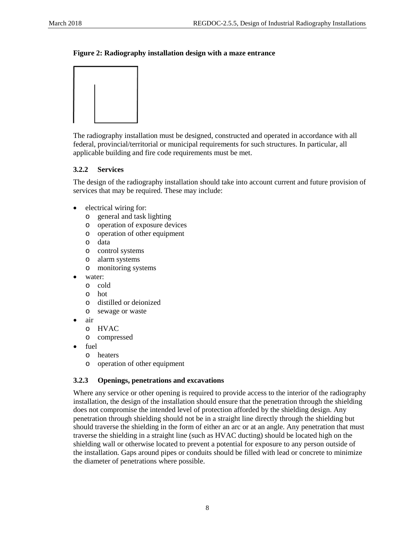#### **Figure 2: Radiography installation design with a maze entrance**



The radiography installation must be designed, constructed and operated in accordance with all federal, provincial/territorial or municipal requirements for such structures. In particular, all applicable building and fire code requirements must be met.

#### <span id="page-12-0"></span>**3.2.2 Services**

The design of the radiography installation should take into account current and future provision of services that may be required. These may include:

- electrical wiring for:
	- o general and task lighting
	- o operation of exposure devices
	- o operation of other equipment
	- o data
	- o control systems
	- o alarm systems
	- o monitoring systems
- water:
	- o cold
	- o hot
	- o distilled or deionized
	- o sewage or waste
- air
	- o HVAC
	- o compressed
- fuel
	- o heaters
	- o operation of other equipment

## <span id="page-12-1"></span>**3.2.3 Openings, penetrations and excavations**

Where any service or other opening is required to provide access to the interior of the radiography installation, the design of the installation should ensure that the penetration through the shielding does not compromise the intended level of protection afforded by the shielding design. Any penetration through shielding should not be in a straight line directly through the shielding but should traverse the shielding in the form of either an arc or at an angle. Any penetration that must traverse the shielding in a straight line (such as HVAC ducting) should be located high on the shielding wall or otherwise located to prevent a potential for exposure to any person outside of the installation. Gaps around pipes or conduits should be filled with lead or concrete to minimize the diameter of penetrations where possible.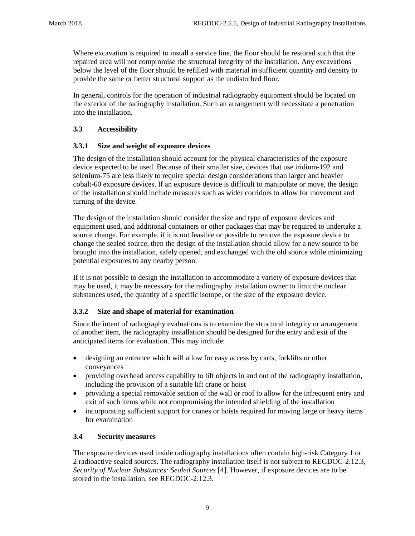Where excavation is required to install a service line, the floor should be restored such that the repaired area will not compromise the structural integrity of the installation. Any excavations below the level of the floor should be refilled with material in sufficient quantity and density to provide the same or better structural support as the undisturbed floor.

In general, controls for the operation of industrial radiography equipment should be located on the exterior of the radiography installation. Such an arrangement will necessitate a penetration into the installation.

## <span id="page-13-0"></span>**3.3 Accessibility**

#### <span id="page-13-1"></span>**3.3.1 Size and weight of exposure devices**

The design of the installation should account for the physical characteristics of the exposure device expected to be used. Because of their smaller size, devices that use iridium-192 and selenium-75 are less likely to require special design considerations than larger and heavier cobalt-60 exposure devices. If an exposure device is difficult to manipulate or move, the design of the installation should include measures such as wider corridors to allow for movement and turning of the device.

The design of the installation should consider the size and type of exposure devices and equipment used, and additional containers or other packages that may be required to undertake a source change. For example, if it is not feasible or possible to remove the exposure device to change the sealed source, then the design of the installation should allow for a new source to be brought into the installation, safely opened, and exchanged with the old source while minimizing potential exposures to any nearby person.

If it is not possible to design the installation to accommodate a variety of exposure devices that may be used, it may be necessary for the radiography installation owner to limit the nuclear substances used, the quantity of a specific isotope, or the size of the exposure device.

## <span id="page-13-2"></span>**3.3.2 Size and shape of material for examination**

Since the intent of radiography evaluations is to examine the structural integrity or arrangement of another item, the radiography installation should be designed for the entry and exit of the anticipated items for evaluation. This may include:

- designing an entrance which will allow for easy access by carts, forklifts or other conveyances
- providing overhead access capability to lift objects in and out of the radiography installation, including the provision of a suitable lift crane or hoist
- providing a special removable section of the wall or roof to allow for the infrequent entry and exit of such items while not compromising the intended shielding of the installation
- incorporating sufficient support for cranes or hoists required for moving large or heavy items for examination

#### <span id="page-13-3"></span>**3.4 Security measures**

The exposure devices used inside radiography installations often contain high-risk Category 1 or 2 radioactive sealed sources. The radiography installation itself is not subject to REGDOC-2.12.3, *Security of Nuclear Substances: Sealed Sources* [4]. However, if exposure devices are to be stored in the installation, see REGDOC-2.12.3.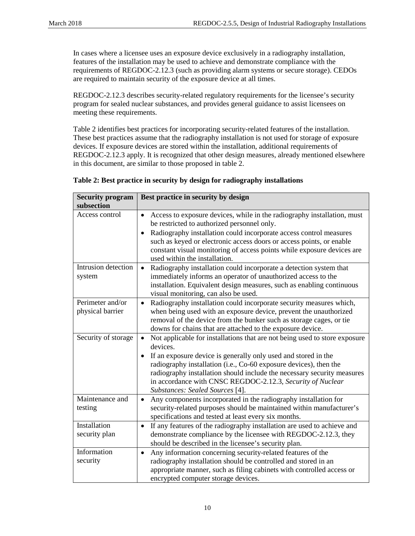In cases where a licensee uses an exposure device exclusively in a radiography installation, features of the installation may be used to achieve and demonstrate compliance with the requirements of REGDOC-2.12.3 (such as providing alarm systems or secure storage). CEDOs are required to maintain security of the exposure device at all times.

REGDOC-2.12.3 describes security-related regulatory requirements for the licensee's security program for sealed nuclear substances, and provides general guidance to assist licensees on meeting these requirements.

Table 2 identifies best practices for incorporating security-related features of the installation. These best practices assume that the radiography installation is not used for storage of exposure devices. If exposure devices are stored within the installation, additional requirements of REGDOC-2.12.3 apply. It is recognized that other design measures, already mentioned elsewhere in this document, are similar to those proposed in table 2.

| <b>Security program</b><br>subsection | Best practice in security by design                                                                                                                                                                                                                                                                                                                                                                                                 |
|---------------------------------------|-------------------------------------------------------------------------------------------------------------------------------------------------------------------------------------------------------------------------------------------------------------------------------------------------------------------------------------------------------------------------------------------------------------------------------------|
| Access control                        | Access to exposure devices, while in the radiography installation, must<br>$\bullet$<br>be restricted to authorized personnel only.<br>Radiography installation could incorporate access control measures<br>$\bullet$<br>such as keyed or electronic access doors or access points, or enable<br>constant visual monitoring of access points while exposure devices are<br>used within the installation.                           |
| Intrusion detection<br>system         | Radiography installation could incorporate a detection system that<br>$\bullet$<br>immediately informs an operator of unauthorized access to the<br>installation. Equivalent design measures, such as enabling continuous<br>visual monitoring, can also be used.                                                                                                                                                                   |
| Perimeter and/or<br>physical barrier  | Radiography installation could incorporate security measures which,<br>$\bullet$<br>when being used with an exposure device, prevent the unauthorized<br>removal of the device from the bunker such as storage cages, or tie<br>downs for chains that are attached to the exposure device.                                                                                                                                          |
| Security of storage                   | Not applicable for installations that are not being used to store exposure<br>$\bullet$<br>devices.<br>If an exposure device is generally only used and stored in the<br>$\bullet$<br>radiography installation (i.e., Co-60 exposure devices), then the<br>radiography installation should include the necessary security measures<br>in accordance with CNSC REGDOC-2.12.3, Security of Nuclear<br>Substances: Sealed Sources [4]. |
| Maintenance and<br>testing            | Any components incorporated in the radiography installation for<br>$\bullet$<br>security-related purposes should be maintained within manufacturer's<br>specifications and tested at least every six months.                                                                                                                                                                                                                        |
| Installation<br>security plan         | If any features of the radiography installation are used to achieve and<br>$\bullet$<br>demonstrate compliance by the licensee with REGDOC-2.12.3, they<br>should be described in the licensee's security plan.                                                                                                                                                                                                                     |
| Information<br>security               | Any information concerning security-related features of the<br>$\bullet$<br>radiography installation should be controlled and stored in an<br>appropriate manner, such as filing cabinets with controlled access or<br>encrypted computer storage devices.                                                                                                                                                                          |

#### **Table 2: Best practice in security by design for radiography installations**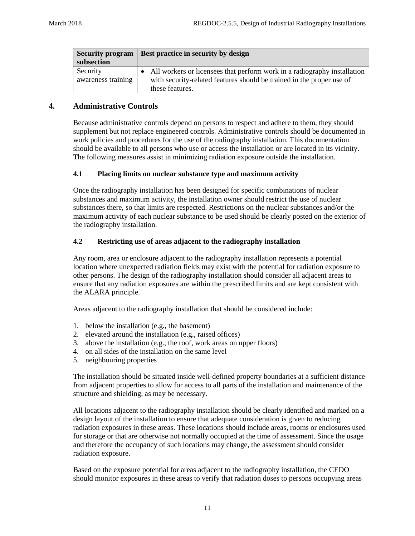|                                | Security program   Best practice in security by design                                                                                                                 |  |  |  |
|--------------------------------|------------------------------------------------------------------------------------------------------------------------------------------------------------------------|--|--|--|
| subsection                     |                                                                                                                                                                        |  |  |  |
| Security<br>awareness training | • All workers or licensees that perform work in a radiography installation<br>with security-related features should be trained in the proper use of<br>these features. |  |  |  |

#### <span id="page-15-0"></span>**4. Administrative Controls**

Because administrative controls depend on persons to respect and adhere to them, they should supplement but not replace engineered controls. Administrative controls should be documented in work policies and procedures for the use of the radiography installation. This documentation should be available to all persons who use or access the installation or are located in its vicinity. The following measures assist in minimizing radiation exposure outside the installation.

#### <span id="page-15-1"></span>**4.1 Placing limits on nuclear substance type and maximum activity**

Once the radiography installation has been designed for specific combinations of nuclear substances and maximum activity, the installation owner should restrict the use of nuclear substances there, so that limits are respected. Restrictions on the nuclear substances and/or the maximum activity of each nuclear substance to be used should be clearly posted on the exterior of the radiography installation.

#### <span id="page-15-2"></span>**4.2 Restricting use of areas adjacent to the radiography installation**

Any room, area or enclosure adjacent to the radiography installation represents a potential location where unexpected radiation fields may exist with the potential for radiation exposure to other persons. The design of the radiography installation should consider all adjacent areas to ensure that any radiation exposures are within the prescribed limits and are kept consistent with the ALARA principle.

Areas adjacent to the radiography installation that should be considered include:

- 1. below the installation (e.g., the basement)
- 2. elevated around the installation (e.g., raised offices)
- 3. above the installation (e.g., the roof, work areas on upper floors)
- 4. on all sides of the installation on the same level
- 5. neighbouring properties

The installation should be situated inside well-defined property boundaries at a sufficient distance from adjacent properties to allow for access to all parts of the installation and maintenance of the structure and shielding, as may be necessary.

All locations adjacent to the radiography installation should be clearly identified and marked on a design layout of the installation to ensure that adequate consideration is given to reducing radiation exposures in these areas. These locations should include areas, rooms or enclosures used for storage or that are otherwise not normally occupied at the time of assessment. Since the usage and therefore the occupancy of such locations may change, the assessment should consider radiation exposure.

Based on the exposure potential for areas adjacent to the radiography installation, the CEDO should monitor exposures in these areas to verify that radiation doses to persons occupying areas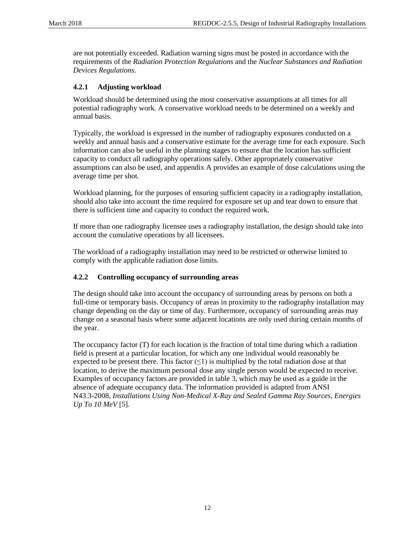are not potentially exceeded. Radiation warning signs must be posted in accordance with the requirements of the *Radiation Protection Regulations* and the *Nuclear Substances and Radiation Devices Regulations*.

#### <span id="page-16-0"></span>**4.2.1 Adjusting workload**

Workload should be determined using the most conservative assumptions at all times for all potential radiography work. A conservative workload needs to be determined on a weekly and annual basis.

Typically, the workload is expressed in the number of radiography exposures conducted on a weekly and annual basis and a conservative estimate for the average time for each exposure. Such information can also be useful in the planning stages to ensure that the location has sufficient capacity to conduct all radiography operations safely. Other appropriately conservative assumptions can also be used, and appendix A provides an example of dose calculations using the average time per shot.

Workload planning, for the purposes of ensuring sufficient capacity in a radiography installation, should also take into account the time required for exposure set up and tear down to ensure that there is sufficient time and capacity to conduct the required work.

If more than one radiography licensee uses a radiography installation, the design should take into account the cumulative operations by all licensees.

The workload of a radiography installation may need to be restricted or otherwise limited to comply with the applicable radiation dose limits.

## <span id="page-16-1"></span>**4.2.2 Controlling occupancy of surrounding areas**

The design should take into account the occupancy of surrounding areas by persons on both a full-time or temporary basis. Occupancy of areas in proximity to the radiography installation may change depending on the day or time of day. Furthermore, occupancy of surrounding areas may change on a seasonal basis where some adjacent locations are only used during certain months of the year.

The occupancy factor (T) for each location is the fraction of total time during which a radiation field is present at a particular location, for which any one individual would reasonably be expected to be present there. This factor  $(\leq)$  is multiplied by the total radiation dose at that location, to derive the maximum personal dose any single person would be expected to receive. Examples of occupancy factors are provided in table 3, which may be used as a guide in the absence of adequate occupancy data. The information provided is adapted from ANSI N43.3-2008, *Installations Using Non-Medical X-Ray and Sealed Gamma Ray Sources, Energies Up To 10 MeV* [5].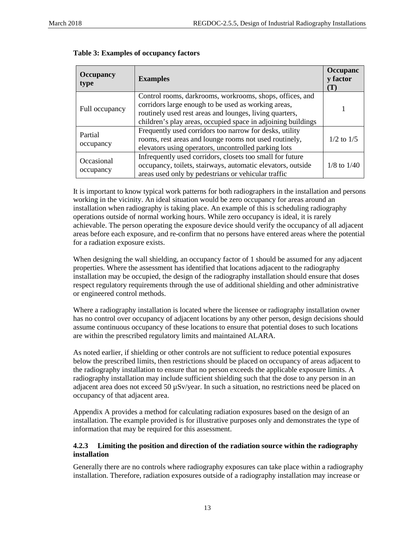| <b>Occupancy</b><br>type | <b>Examples</b>                                                                                                                                                                                                                            | Occupanc<br>y factor<br>$(\mathbf{T})$ |
|--------------------------|--------------------------------------------------------------------------------------------------------------------------------------------------------------------------------------------------------------------------------------------|----------------------------------------|
| Full occupancy           | Control rooms, darkrooms, workrooms, shops, offices, and<br>corridors large enough to be used as working areas,<br>routinely used rest areas and lounges, living quarters,<br>children's play areas, occupied space in adjoining buildings |                                        |
| Partial<br>occupancy     | Frequently used corridors too narrow for desks, utility<br>rooms, rest areas and lounge rooms not used routinely,<br>elevators using operators, uncontrolled parking lots                                                                  | $1/2$ to $1/5$                         |
| Occasional<br>occupancy  | Infrequently used corridors, closets too small for future<br>occupancy, toilets, stairways, automatic elevators, outside<br>areas used only by pedestrians or vehicular traffic                                                            | $1/8$ to $1/40$                        |

It is important to know typical work patterns for both radiographers in the installation and persons working in the vicinity. An ideal situation would be zero occupancy for areas around an installation when radiography is taking place. An example of this is scheduling radiography operations outside of normal working hours. While zero occupancy is ideal, it is rarely achievable. The person operating the exposure device should verify the occupancy of all adjacent areas before each exposure, and re-confirm that no persons have entered areas where the potential for a radiation exposure exists.

When designing the wall shielding, an occupancy factor of 1 should be assumed for any adjacent properties. Where the assessment has identified that locations adjacent to the radiography installation may be occupied, the design of the radiography installation should ensure that doses respect regulatory requirements through the use of additional shielding and other administrative or engineered control methods.

Where a radiography installation is located where the licensee or radiography installation owner has no control over occupancy of adjacent locations by any other person, design decisions should assume continuous occupancy of these locations to ensure that potential doses to such locations are within the prescribed regulatory limits and maintained ALARA.

As noted earlier, if shielding or other controls are not sufficient to reduce potential exposures below the prescribed limits, then restrictions should be placed on occupancy of areas adjacent to the radiography installation to ensure that no person exceeds the applicable exposure limits. A radiography installation may include sufficient shielding such that the dose to any person in an adjacent area does not exceed 50 µSv/year. In such a situation, no restrictions need be placed on occupancy of that adjacent area.

Appendix A provides a method for calculating radiation exposures based on the design of an installation. The example provided is for illustrative purposes only and demonstrates the type of information that may be required for this assessment.

#### <span id="page-17-0"></span>**4.2.3 Limiting the position and direction of the radiation source within the radiography installation**

Generally there are no controls where radiography exposures can take place within a radiography installation. Therefore, radiation exposures outside of a radiography installation may increase or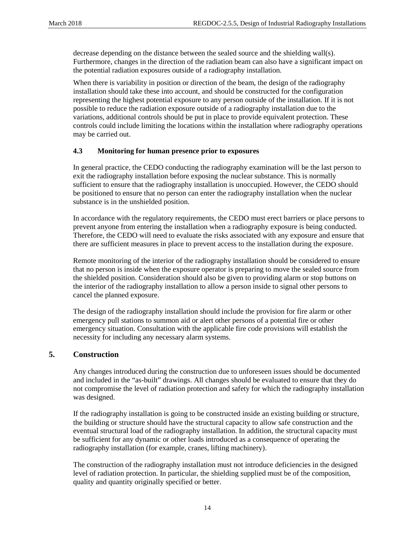decrease depending on the distance between the sealed source and the shielding wall(s). Furthermore, changes in the direction of the radiation beam can also have a significant impact on the potential radiation exposures outside of a radiography installation.

When there is variability in position or direction of the beam, the design of the radiography installation should take these into account, and should be constructed for the configuration representing the highest potential exposure to any person outside of the installation. If it is not possible to reduce the radiation exposure outside of a radiography installation due to the variations, additional controls should be put in place to provide equivalent protection. These controls could include limiting the locations within the installation where radiography operations may be carried out.

## <span id="page-18-0"></span>**4.3 Monitoring for human presence prior to exposures**

In general practice, the CEDO conducting the radiography examination will be the last person to exit the radiography installation before exposing the nuclear substance. This is normally sufficient to ensure that the radiography installation is unoccupied. However, the CEDO should be positioned to ensure that no person can enter the radiography installation when the nuclear substance is in the unshielded position.

In accordance with the regulatory requirements, the CEDO must erect barriers or place persons to prevent anyone from entering the installation when a radiography exposure is being conducted. Therefore, the CEDO will need to evaluate the risks associated with any exposure and ensure that there are sufficient measures in place to prevent access to the installation during the exposure.

Remote monitoring of the interior of the radiography installation should be considered to ensure that no person is inside when the exposure operator is preparing to move the sealed source from the shielded position. Consideration should also be given to providing alarm or stop buttons on the interior of the radiography installation to allow a person inside to signal other persons to cancel the planned exposure.

The design of the radiography installation should include the provision for fire alarm or other emergency pull stations to summon aid or alert other persons of a potential fire or other emergency situation. Consultation with the applicable fire code provisions will establish the necessity for including any necessary alarm systems.

## <span id="page-18-1"></span>**5. Construction**

Any changes introduced during the construction due to unforeseen issues should be documented and included in the "as-built" drawings. All changes should be evaluated to ensure that they do not compromise the level of radiation protection and safety for which the radiography installation was designed.

If the radiography installation is going to be constructed inside an existing building or structure, the building or structure should have the structural capacity to allow safe construction and the eventual structural load of the radiography installation. In addition, the structural capacity must be sufficient for any dynamic or other loads introduced as a consequence of operating the radiography installation (for example, cranes, lifting machinery).

The construction of the radiography installation must not introduce deficiencies in the designed level of radiation protection. In particular, the shielding supplied must be of the composition, quality and quantity originally specified or better.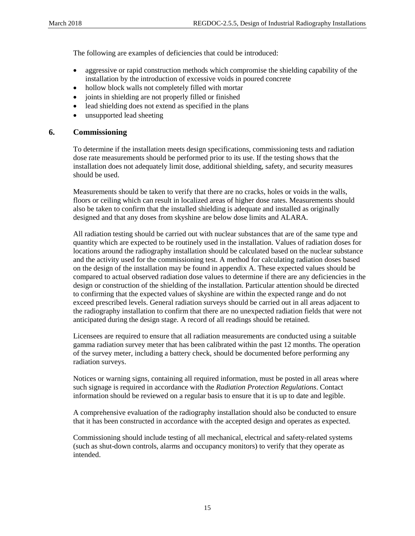The following are examples of deficiencies that could be introduced:

- aggressive or rapid construction methods which compromise the shielding capability of the installation by the introduction of excessive voids in poured concrete
- hollow block walls not completely filled with mortar
- joints in shielding are not properly filled or finished
- lead shielding does not extend as specified in the plans
- unsupported lead sheeting

#### <span id="page-19-0"></span>**6. Commissioning**

To determine if the installation meets design specifications, commissioning tests and radiation dose rate measurements should be performed prior to its use. If the testing shows that the installation does not adequately limit dose, additional shielding, safety, and security measures should be used.

Measurements should be taken to verify that there are no cracks, holes or voids in the walls, floors or ceiling which can result in localized areas of higher dose rates. Measurements should also be taken to confirm that the installed shielding is adequate and installed as originally designed and that any doses from skyshine are below dose limits and ALARA.

All radiation testing should be carried out with nuclear substances that are of the same type and quantity which are expected to be routinely used in the installation. Values of radiation doses for locations around the radiography installation should be calculated based on the nuclear substance and the activity used for the commissioning test. A method for calculating radiation doses based on the design of the installation may be found in appendix A. These expected values should be compared to actual observed radiation dose values to determine if there are any deficiencies in the design or construction of the shielding of the installation. Particular attention should be directed to confirming that the expected values of skyshine are within the expected range and do not exceed prescribed levels. General radiation surveys should be carried out in all areas adjacent to the radiography installation to confirm that there are no unexpected radiation fields that were not anticipated during the design stage. A record of all readings should be retained.

Licensees are required to ensure that all radiation measurements are conducted using a suitable gamma radiation survey meter that has been calibrated within the past 12 months. The operation of the survey meter, including a battery check, should be documented before performing any radiation surveys.

Notices or warning signs, containing all required information, must be posted in all areas where such signage is required in accordance with the *Radiation Protection Regulations*. Contact information should be reviewed on a regular basis to ensure that it is up to date and legible.

A comprehensive evaluation of the radiography installation should also be conducted to ensure that it has been constructed in accordance with the accepted design and operates as expected.

Commissioning should include testing of all mechanical, electrical and safety-related systems (such as shut-down controls, alarms and occupancy monitors) to verify that they operate as intended.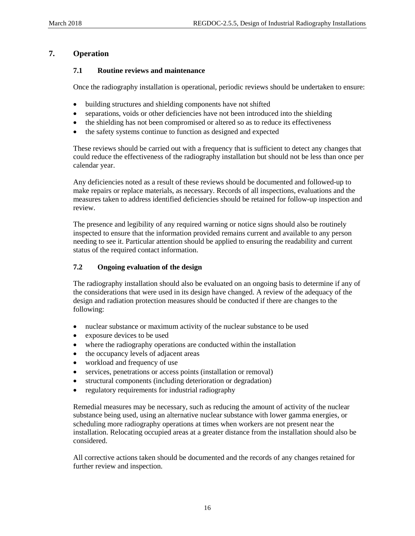# <span id="page-20-1"></span><span id="page-20-0"></span>**7. Operation**

#### **7.1 Routine reviews and maintenance**

Once the radiography installation is operational, periodic reviews should be undertaken to ensure:

- building structures and shielding components have not shifted
- separations, voids or other deficiencies have not been introduced into the shielding
- the shielding has not been compromised or altered so as to reduce its effectiveness
- the safety systems continue to function as designed and expected

These reviews should be carried out with a frequency that is sufficient to detect any changes that could reduce the effectiveness of the radiography installation but should not be less than once per calendar year.

Any deficiencies noted as a result of these reviews should be documented and followed-up to make repairs or replace materials, as necessary. Records of all inspections, evaluations and the measures taken to address identified deficiencies should be retained for follow-up inspection and review.

The presence and legibility of any required warning or notice signs should also be routinely inspected to ensure that the information provided remains current and available to any person needing to see it. Particular attention should be applied to ensuring the readability and current status of the required contact information.

#### <span id="page-20-2"></span>**7.2 Ongoing evaluation of the design**

The radiography installation should also be evaluated on an ongoing basis to determine if any of the considerations that were used in its design have changed. A review of the adequacy of the design and radiation protection measures should be conducted if there are changes to the following:

- nuclear substance or maximum activity of the nuclear substance to be used
- exposure devices to be used
- where the radiography operations are conducted within the installation
- the occupancy levels of adjacent areas
- workload and frequency of use
- services, penetrations or access points (installation or removal)
- structural components (including deterioration or degradation)
- regulatory requirements for industrial radiography

Remedial measures may be necessary, such as reducing the amount of activity of the nuclear substance being used, using an alternative nuclear substance with lower gamma energies, or scheduling more radiography operations at times when workers are not present near the installation. Relocating occupied areas at a greater distance from the installation should also be considered.

All corrective actions taken should be documented and the records of any changes retained for further review and inspection.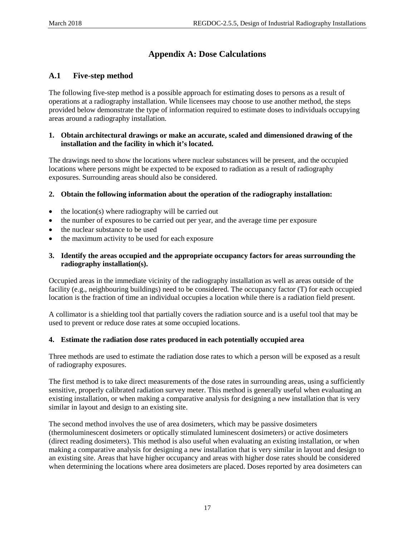# <span id="page-21-0"></span>**Appendix A: Dose Calculations**

# <span id="page-21-1"></span>**A.1 Five-step method**

The following five-step method is a possible approach for estimating doses to persons as a result of operations at a radiography installation. While licensees may choose to use another method, the steps provided below demonstrate the type of information required to estimate doses to individuals occupying areas around a radiography installation.

#### **1. Obtain architectural drawings or make an accurate, scaled and dimensioned drawing of the installation and the facility in which it's located.**

The drawings need to show the locations where nuclear substances will be present, and the occupied locations where persons might be expected to be exposed to radiation as a result of radiography exposures. Surrounding areas should also be considered.

#### **2. Obtain the following information about the operation of the radiography installation:**

- the location(s) where radiography will be carried out
- the number of exposures to be carried out per year, and the average time per exposure
- the nuclear substance to be used
- the maximum activity to be used for each exposure
- **3. Identify the areas occupied and the appropriate occupancy factors for areas surrounding the radiography installation(s).**

Occupied areas in the immediate vicinity of the radiography installation as well as areas outside of the facility (e.g., neighbouring buildings) need to be considered. The occupancy factor (T) for each occupied location is the fraction of time an individual occupies a location while there is a radiation field present.

A collimator is a shielding tool that partially covers the radiation source and is a useful tool that may be used to prevent or reduce dose rates at some occupied locations.

#### **4. Estimate the radiation dose rates produced in each potentially occupied area**

Three methods are used to estimate the radiation dose rates to which a person will be exposed as a result of radiography exposures.

The first method is to take direct measurements of the dose rates in surrounding areas, using a sufficiently sensitive, properly calibrated radiation survey meter. This method is generally useful when evaluating an existing installation, or when making a comparative analysis for designing a new installation that is very similar in layout and design to an existing site.

The second method involves the use of area dosimeters, which may be passive dosimeters (thermoluminescent dosimeters or optically stimulated luminescent dosimeters) or active dosimeters (direct reading dosimeters). This method is also useful when evaluating an existing installation, or when making a comparative analysis for designing a new installation that is very similar in layout and design to an existing site. Areas that have higher occupancy and areas with higher dose rates should be considered when determining the locations where area dosimeters are placed. Doses reported by area dosimeters can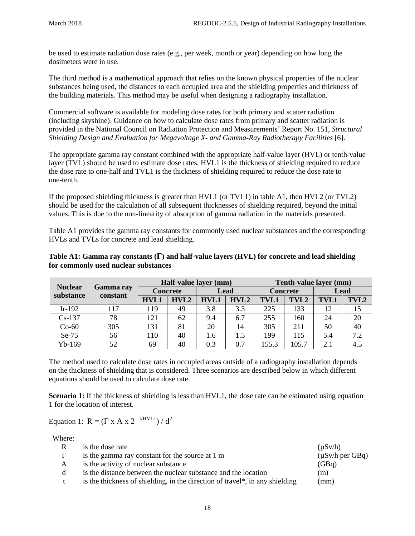be used to estimate radiation dose rates (e.g., per week, month or year) depending on how long the dosimeters were in use.

The third method is a mathematical approach that relies on the known physical properties of the nuclear substances being used, the distances to each occupied area and the shielding properties and thickness of the building materials. This method may be useful when designing a radiography installation.

Commercial software is available for modeling dose rates for both primary and scatter radiation (including skyshine). Guidance on how to calculate dose rates from primary and scatter radiation is provided in the National Council on Radiation Protection and Measurements' Report No. 151, *Structural Shielding Design and Evaluation for Megavoltage X- and Gamma-Ray Radiotherapy Facilities* [6].

The appropriate gamma ray constant combined with the appropriate half-value layer (HVL) or tenth-value layer (TVL) should be used to estimate dose rates. HVL1 is the thickness of shielding required to reduce the dose rate to one-half and TVL1 is the thickness of shielding required to reduce the dose rate to one-tenth.

If the proposed shielding thickness is greater than HVL1 (or TVL1) in table A1, then HVL2 (or TVL2) should be used for the calculation of all subsequent thicknesses of shielding required, beyond the initial values. This is due to the non-linearity of absorption of gamma radiation in the materials presented.

Table A1 provides the gamma ray constants for commonly used nuclear substances and the corresponding HVLs and TVLs for concrete and lead shielding.

#### **Table A1: Gamma ray constants (Г) and half-value layers (HVL) for concrete and lead shielding for commonly used nuclear substances**

|                |                              | Half-value layer (mm) |      |      |      | Tenth-value layer (mm) |       |             |      |
|----------------|------------------------------|-----------------------|------|------|------|------------------------|-------|-------------|------|
| <b>Nuclear</b> | <b>Gamma ray</b><br>constant | <b>Concrete</b>       |      | Lead |      | <b>Concrete</b>        |       | Lead        |      |
| substance      |                              | HVL1                  | HVL2 | HVL1 | HVL2 | <b>TVL1</b>            | TVL2  | <b>TVL1</b> | TVL2 |
| $Ir-192$       | 117                          | 119                   | 49   | 3.8  | 3.3  | 225                    | 133   | 12          | 15   |
| $Cs-137$       | 78                           | 121                   | 62   | 9.4  | 6.7  | 255                    | 160   | 24          | 20   |
| $Co-60$        | 305                          | 131                   | 81   | 20   | 14   | 305                    | 211   | 50          | 40   |
| Se-75          | 56                           | 110                   | 40   | 1.6  | 1.5  | 199                    | 115   | 5.4         | 7.2  |
| $Yb-169$       | 52                           | 69                    | 40   | 0.3  | 0.7  | 155.3                  | 105.7 | 2.1         | 4.5  |

The method used to calculate dose rates in occupied areas outside of a radiography installation depends on the thickness of shielding that is considered. Three scenarios are described below in which different equations should be used to calculate dose rate.

**Scenario 1:** If the thickness of shielding is less than HVL1, the dose rate can be estimated using equation 1 for the location of interest.

Equation 1:  $R = (\Gamma \times A \times 2^{-t/HVL1}) / d^2$ 

| Where:   |                                                                              |                      |
|----------|------------------------------------------------------------------------------|----------------------|
| R        | is the dose rate                                                             | $(\mu Sv/h)$         |
| $\Gamma$ | is the gamma ray constant for the source at 1 m                              | $(\mu Sv/h$ per GBq) |
| A        | is the activity of nuclear substance                                         | (GBq)                |
| d        | is the distance between the nuclear substance and the location               | (m)                  |
| t        | is the thickness of shielding, in the direction of travel*, in any shielding | (mm)                 |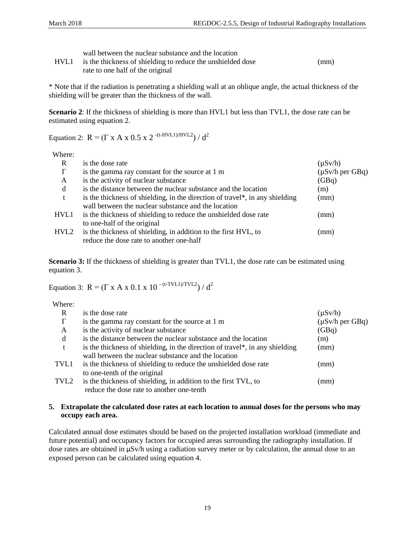|  |  | wall between the nuclear substance and the location |  |
|--|--|-----------------------------------------------------|--|
|--|--|-----------------------------------------------------|--|

| HVL1 | is the thickness of shielding to reduce the unshielded dose | (mm) |
|------|-------------------------------------------------------------|------|
|      | rate to one half of the original                            |      |

\* Note that if the radiation is penetrating a shielding wall at an oblique angle, the actual thickness of the shielding will be greater than the thickness of the wall.

**Scenario 2**: If the thickness of shielding is more than HVL1 but less than TVL1, the dose rate can be estimated using equation 2.

Equation 2:  $R = (\Gamma \times A \times 0.5 \times 2 \cdot (t-HVL1)/HVL2) / d^2$ 

Where:

| R    | is the dose rate                                                             | $(\mu Sv/h)$         |
|------|------------------------------------------------------------------------------|----------------------|
| Г    | is the gamma ray constant for the source at 1 m                              | $(\mu Sv/h$ per GBq) |
| A    | is the activity of nuclear substance                                         | (GBq)                |
| d    | is the distance between the nuclear substance and the location               | (m)                  |
| t    | is the thickness of shielding, in the direction of travel*, in any shielding | (mm)                 |
|      | wall between the nuclear substance and the location                          |                      |
| HVL1 | is the thickness of shielding to reduce the unshielded dose rate             | (mm)                 |
|      | to one-half of the original                                                  |                      |
| HVL2 | is the thickness of shielding, in addition to the first HVL, to              | (mm)                 |
|      | reduce the dose rate to another one-half                                     |                      |

**Scenario 3:** If the thickness of shielding is greater than TVL1, the dose rate can be estimated using equation 3.

Equation 3:  $R = (\Gamma \times A \times 0.1 \times 10^{-(t-TVL1)/TVL2}) / d^2$ 

Where:

| R        | is the dose rate                                                             | $(\mu Sv/h)$         |
|----------|------------------------------------------------------------------------------|----------------------|
| $\Gamma$ | is the gamma ray constant for the source at 1 m                              | $(\mu Sv/h$ per GBq) |
| A        | is the activity of nuclear substance                                         | (GBq)                |
| d        | is the distance between the nuclear substance and the location               | (m)                  |
| t        | is the thickness of shielding, in the direction of travel*, in any shielding | (mm)                 |
|          | wall between the nuclear substance and the location                          |                      |
| TVL1     | is the thickness of shielding to reduce the unshielded dose rate             | (mm)                 |
|          | to one-tenth of the original                                                 |                      |
| TVL2     | is the thickness of shielding, in addition to the first TVL, to              | (mm)                 |
|          | reduce the dose rate to another one-tenth                                    |                      |

#### **5. Extrapolate the calculated dose rates at each location to annual doses for the persons who may occupy each area.**

Calculated annual dose estimates should be based on the projected installation workload (immediate and future potential) and occupancy factors for occupied areas surrounding the radiography installation. If dose rates are obtained in μSv/h using a radiation survey meter or by calculation, the annual dose to an exposed person can be calculated using equation 4.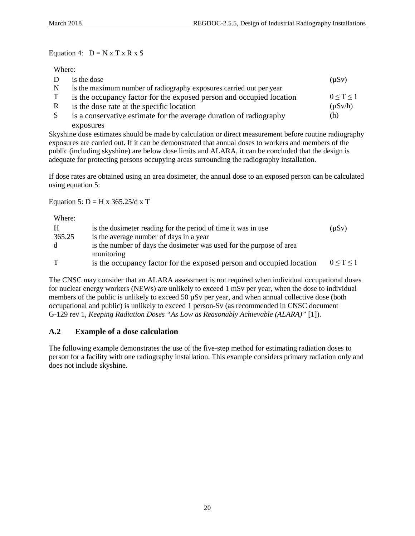Equation 4:  $D = N x T x R x S$ 

#### Where:

| D            | is the dose                                                          | $(\mu Sv)$   |
|--------------|----------------------------------------------------------------------|--------------|
| N            | is the maximum number of radiography exposures carried out per year  |              |
| T            | is the occupancy factor for the exposed person and occupied location | 0 < T < 1    |
| R            | is the dose rate at the specific location                            | $(\mu Sv/h)$ |
| <sub>S</sub> | is a conservative estimate for the average duration of radiography   | (h)          |
|              | exposures                                                            |              |

Skyshine dose estimates should be made by calculation or direct measurement before routine radiography exposures are carried out. If it can be demonstrated that annual doses to workers and members of the public (including skyshine) are below dose limits and ALARA, it can be concluded that the design is adequate for protecting persons occupying areas surrounding the radiography installation.

If dose rates are obtained using an area dosimeter, the annual dose to an exposed person can be calculated using equation 5:

#### Equation 5:  $D = H x 365.25/d x T$

| Where: |                                                                                    |                 |
|--------|------------------------------------------------------------------------------------|-----------------|
| H      | is the dosimeter reading for the period of time it was in use                      | $(\mu Sv)$      |
| 365.25 | is the average number of days in a year                                            |                 |
| d      | is the number of days the dosimeter was used for the purpose of area<br>monitoring |                 |
|        | is the occupancy factor for the exposed person and occupied location               | $0 \le T \le 1$ |

The CNSC may consider that an ALARA assessment is not required when individual occupational doses for nuclear energy workers (NEWs) are unlikely to exceed 1 mSv per year, when the dose to individual members of the public is unlikely to exceed 50  $\mu$ Sv per year, and when annual collective dose (both occupational and public) is unlikely to exceed 1 person-Sv (as recommended in CNSC document G-129 rev 1, *Keeping Radiation Doses "As Low as Reasonably Achievable (ALARA)"* [1]).

# <span id="page-24-0"></span>**A.2 Example of a dose calculation**

The following example demonstrates the use of the five-step method for estimating radiation doses to person for a facility with one radiography installation. This example considers primary radiation only and does not include skyshine.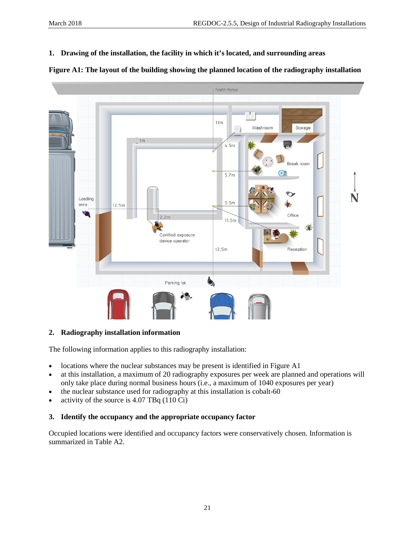**1. Drawing of the installation, the facility in which it's located, and surrounding areas**



## **2. Radiography installation information**

The following information applies to this radiography installation:

- locations where the nuclear substances may be present is identified in Figure A1
- at this installation, a maximum of 20 radiography exposures per week are planned and operations will only take place during normal business hours (i.e., a maximum of 1040 exposures per year)
- the nuclear substance used for radiography at this installation is cobalt-60
- activity of the source is 4.07 TBq (110 Ci)

## **3. Identify the occupancy and the appropriate occupancy factor**

Occupied locations were identified and occupancy factors were conservatively chosen. Information is summarized in Table A2.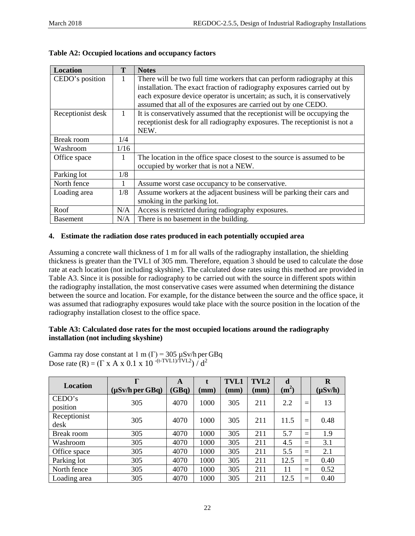| <b>Location</b>   | T    | <b>Notes</b>                                                               |  |  |  |  |
|-------------------|------|----------------------------------------------------------------------------|--|--|--|--|
| CEDO's position   | 1    | There will be two full time workers that can perform radiography at this   |  |  |  |  |
|                   |      | installation. The exact fraction of radiography exposures carried out by   |  |  |  |  |
|                   |      | each exposure device operator is uncertain; as such, it is conservatively  |  |  |  |  |
|                   |      | assumed that all of the exposures are carried out by one CEDO.             |  |  |  |  |
| Receptionist desk | 1    | It is conservatively assumed that the receptionist will be occupying the   |  |  |  |  |
|                   |      | receptionist desk for all radiography exposures. The receptionist is not a |  |  |  |  |
|                   |      | NEW.                                                                       |  |  |  |  |
| <b>Break room</b> | 1/4  |                                                                            |  |  |  |  |
| Washroom          | 1/16 |                                                                            |  |  |  |  |
| Office space      | 1    | The location in the office space closest to the source is assumed to be    |  |  |  |  |
|                   |      | occupied by worker that is not a NEW.                                      |  |  |  |  |
| Parking lot       | 1/8  |                                                                            |  |  |  |  |
| North fence       | 1    | Assume worst case occupancy to be conservative.                            |  |  |  |  |
| Loading area      | 1/8  | Assume workers at the adjacent business will be parking their cars and     |  |  |  |  |
|                   |      | smoking in the parking lot.                                                |  |  |  |  |
| Roof              | N/A  | Access is restricted during radiography exposures.                         |  |  |  |  |
| <b>Basement</b>   | N/A  | There is no basement in the building.                                      |  |  |  |  |

|  |  | Table A2: Occupied locations and occupancy factors |  |  |
|--|--|----------------------------------------------------|--|--|
|--|--|----------------------------------------------------|--|--|

## **4. Estimate the radiation dose rates produced in each potentially occupied area**

Assuming a concrete wall thickness of 1 m for all walls of the radiography installation, the shielding thickness is greater than the TVL1 of 305 mm. Therefore, equation 3 should be used to calculate the dose rate at each location (not including skyshine). The calculated dose rates using this method are provided in Table A3. Since it is possible for radiography to be carried out with the source in different spots within the radiography installation, the most conservative cases were assumed when determining the distance between the source and location. For example, for the distance between the source and the office space, it was assumed that radiography exposures would take place with the source position in the location of the radiography installation closest to the office space.

## **Table A3: Calculated dose rates for the most occupied locations around the radiography installation (not including skyshine)**

Gamma ray dose constant at  $1 \text{ m } (\Gamma) = 305 \text{ }\mu\text{Sv/h}$  per GBq Dose rate (R) = ( $\Gamma$  x A x 0.1 x 10<sup>-(t-TVL1)/TVL2</sup>)  $\int d^2$ 

| <b>Location</b>      | Г                    | A     |                 | <b>TVL1</b> | TVL2            | d       |     | R            |
|----------------------|----------------------|-------|-----------------|-------------|-----------------|---------|-----|--------------|
|                      | $(\mu Sv/h$ per GBq) | (GBq) | $(\mathbf{mm})$ | (mm)        | $(\mathbf{mm})$ | $(m^2)$ |     | $(\mu Sv/h)$ |
| CEDO's<br>position   | 305                  | 4070  | 1000            | 305         | 211             | 2.2     | $=$ | 13           |
| Receptionist<br>desk | 305                  | 4070  | 1000            | 305         | 211             | 11.5    | $=$ | 0.48         |
| Break room           | 305                  | 4070  | 1000            | 305         | 211             | 5.7     | $=$ | 1.9          |
| Washroom             | 305                  | 4070  | 1000            | 305         | 211             | 4.5     | $=$ | 3.1          |
| Office space         | 305                  | 4070  | 1000            | 305         | 211             | 5.5     | $=$ | 2.1          |
| Parking lot          | 305                  | 4070  | 1000            | 305         | 211             | 12.5    | $=$ | 0.40         |
| North fence          | 305                  | 4070  | 1000            | 305         | 211             | 11      | $=$ | 0.52         |
| Loading area         | 305                  | 4070  | 1000            | 305         | 211             | 12.5    | $=$ | 0.40         |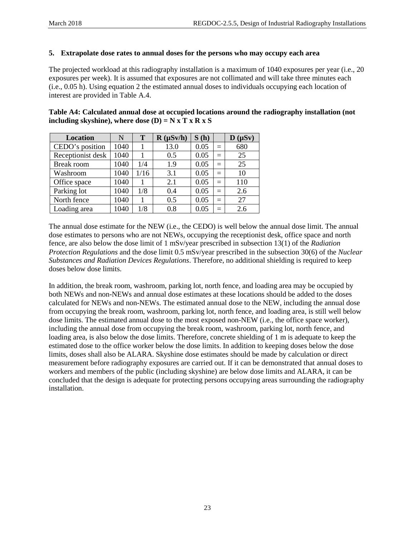#### **5. Extrapolate dose rates to annual doses for the persons who may occupy each area**

The projected workload at this radiography installation is a maximum of 1040 exposures per year (i.e., 20 exposures per week). It is assumed that exposures are not collimated and will take three minutes each (i.e., 0.05 h). Using equation 2 the estimated annual doses to individuals occupying each location of interest are provided in Table A.4.

**Table A4: Calculated annual dose at occupied locations around the radiography installation (not including skyshine), where dose**  $(D) = N \times T \times R \times S$ 

| <b>Location</b>   | N    | T    | $R(\mu Sv/h)$ | S(h) |     | $D(\mu Sv)$ |
|-------------------|------|------|---------------|------|-----|-------------|
| CEDO's position   | 1040 |      | 13.0          | 0.05 | $=$ | 680         |
| Receptionist desk | 1040 |      | 0.5           | 0.05 | $=$ | 25          |
| <b>Break room</b> | 1040 | 1/4  | 1.9           | 0.05 | $=$ | 25          |
| Washroom          | 1040 | 1/16 | 3.1           | 0.05 | $=$ | 10          |
| Office space      | 1040 |      | 2.1           | 0.05 | $=$ | 110         |
| Parking lot       | 1040 | 1/8  | 0.4           | 0.05 | $=$ | 2.6         |
| North fence       | 1040 |      | 0.5           | 0.05 | $=$ | 27          |
| Loading area      | 1040 | 1/8  | 0.8           | 0.05 | $=$ | 2.6         |

The annual dose estimate for the NEW (i.e., the CEDO) is well below the annual dose limit. The annual dose estimates to persons who are not NEWs, occupying the receptionist desk, office space and north fence, are also below the dose limit of 1 mSv/year prescribed in subsection 13(1) of the *Radiation Protection Regulations* and the dose limit 0.5 mSv/year prescribed in the subsection 30(6) of the *Nuclear Substances and Radiation Devices Regulations*. Therefore, no additional shielding is required to keep doses below dose limits.

In addition, the break room, washroom, parking lot, north fence, and loading area may be occupied by both NEWs and non-NEWs and annual dose estimates at these locations should be added to the doses calculated for NEWs and non-NEWs. The estimated annual dose to the NEW, including the annual dose from occupying the break room, washroom, parking lot, north fence, and loading area, is still well below dose limits. The estimated annual dose to the most exposed non-NEW (i.e., the office space worker), including the annual dose from occupying the break room, washroom, parking lot, north fence, and loading area, is also below the dose limits. Therefore, concrete shielding of 1 m is adequate to keep the estimated dose to the office worker below the dose limits. In addition to keeping doses below the dose limits, doses shall also be ALARA. Skyshine dose estimates should be made by calculation or direct measurement before radiography exposures are carried out. If it can be demonstrated that annual doses to workers and members of the public (including skyshine) are below dose limits and ALARA, it can be concluded that the design is adequate for protecting persons occupying areas surrounding the radiography installation.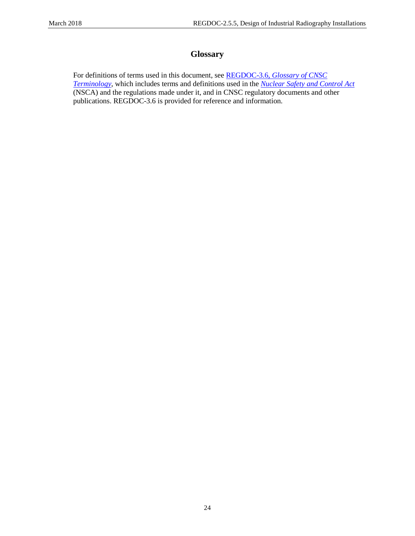# **Glossary**

<span id="page-28-0"></span>For definitions of terms used in this document, see REGDOC-3.6, *[Glossary of CNSC](http://www.nuclearsafety.gc.ca/pubs_catalogue/uploads/REGDOC-3-6-Glossary-of-CNSC-Terminology-eng.pdf)  [Terminology](http://www.nuclearsafety.gc.ca/pubs_catalogue/uploads/REGDOC-3-6-Glossary-of-CNSC-Terminology-eng.pdf)*, which includes terms and definitions used in the *[Nuclear Safety and Control Act](http://laws-lois.justice.gc.ca/eng/acts/N-28.3/)* (NSCA) and the regulations made under it, and in CNSC regulatory documents and other publications. REGDOC-3.6 is provided for reference and information.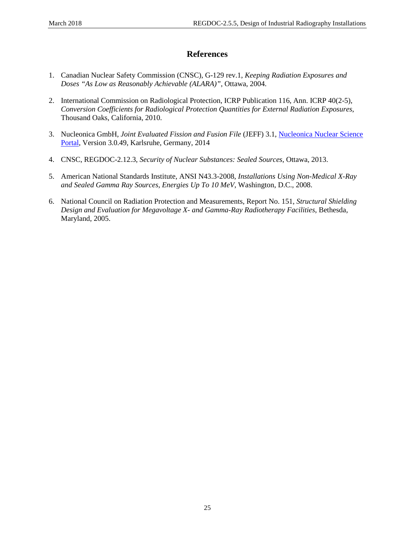# **References**

- <span id="page-29-0"></span>1. Canadian Nuclear Safety Commission (CNSC), G-129 rev.1, *Keeping Radiation Exposures and Doses "As Low as Reasonably Achievable (ALARA)"*, Ottawa, 2004.
- 2. International Commission on Radiological Protection, ICRP Publication 116, Ann. ICRP 40(2-5), *Conversion Coefficients for Radiological Protection Quantities for External Radiation Exposures*, Thousand Oaks, California, 2010.
- 3. Nucleonica GmbH, *Joint Evaluated Fission and Fusion File* (JEFF) 3.1, [Nucleonica Nuclear Science](http://www.nucleonica.com/)  [Portal,](http://www.nucleonica.com/) Version 3.0.49, Karlsruhe, Germany, 2014
- 4. CNSC, REGDOC-2.12.3, *Security of Nuclear Substances: Sealed Sources*, Ottawa, 2013.
- 5. American National Standards Institute, ANSI N43.3-2008, *Installations Using Non-Medical X-Ray and Sealed Gamma Ray Sources, Energies Up To 10 MeV*, Washington, D.C., 2008.
- 6. National Council on Radiation Protection and Measurements, Report No. 151, *Structural Shielding Design and Evaluation for Megavoltage X- and Gamma-Ray Radiotherapy Facilities*, Bethesda, Maryland, 2005.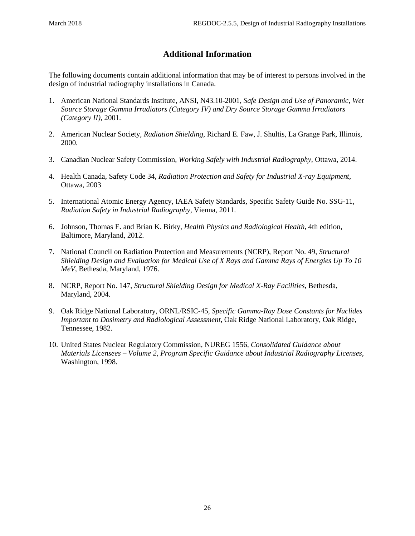# **Additional Information**

<span id="page-30-0"></span>The following documents contain additional information that may be of interest to persons involved in the design of industrial radiography installations in Canada.

- 1. American National Standards Institute, ANSI, N43.10-2001, *Safe Design and Use of Panoramic, Wet Source Storage Gamma Irradiators (Category IV) and Dry Source Storage Gamma Irradiators (Category II)*, 2001.
- 2. American Nuclear Society, *Radiation Shielding*, Richard E. Faw, J. Shultis, La Grange Park, Illinois, 2000.
- 3. Canadian Nuclear Safety Commission, *Working Safely with Industrial Radiography*, Ottawa, 2014.
- 4. Health Canada, Safety Code 34, *Radiation Protection and Safety for Industrial X-ray Equipment,* Ottawa, 2003
- 5. International Atomic Energy Agency, IAEA Safety Standards, Specific Safety Guide No. SSG-11, *Radiation Safety in Industrial Radiography*, Vienna, 2011.
- 6. Johnson, Thomas E. and Brian K. Birky, *Health Physics and Radiological Health*, 4th edition, Baltimore, Maryland, 2012.
- 7. National Council on Radiation Protection and Measurements (NCRP), Report No. 49, *Structural Shielding Design and Evaluation for Medical Use of X Rays and Gamma Rays of Energies Up To 10 MeV*, Bethesda, Maryland, 1976.
- 8. NCRP, Report No. 147, *Structural Shielding Design for Medical X-Ray Facilities*, Bethesda, Maryland, 2004.
- 9. Oak Ridge National Laboratory, ORNL/RSIC-45, *Specific Gamma-Ray Dose Constants for Nuclides Important to Dosimetry and Radiological Assessment*, Oak Ridge National Laboratory, Oak Ridge, Tennessee, 1982.
- 10. United States Nuclear Regulatory Commission, NUREG 1556, *Consolidated Guidance about Materials Licensees – Volume 2, Program Specific Guidance about Industrial Radiography Licenses*, Washington, 1998.